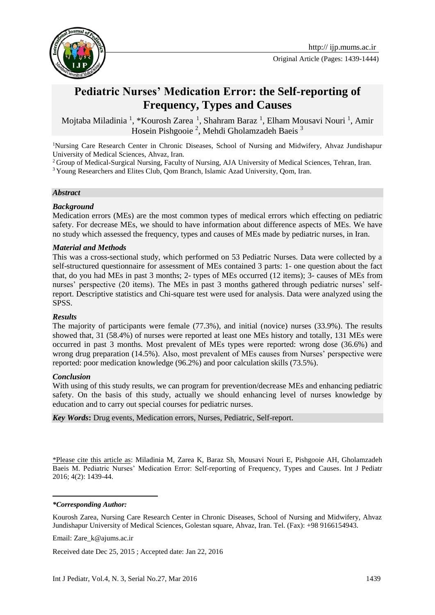

# **Pediatric Nurses' Medication Error: the Self-reporting of Frequency, Types and Causes**

Mojtaba Miladinia <sup>1</sup>, \*Kourosh Zarea <sup>1</sup>, Shahram Baraz <sup>1</sup>, Elham Mousavi Nouri <sup>1</sup>, Amir Hosein Pishgooie<sup>2</sup>, Mehdi Gholamzadeh Baeis<sup>3</sup>

<sup>1</sup>Nursing Care Research Center in Chronic Diseases, School of Nursing and Midwifery, Ahvaz Jundishapur University of Medical Sciences, Ahvaz, Iran.

<sup>2</sup> Group of Medical-Surgical Nursing, Faculty of Nursing, AJA University of Medical Sciences, Tehran, Iran.

<sup>3</sup> Young Researchers and Elites Club, Qom Branch, Islamic Azad University, Qom, Iran.

#### *Abstract*

#### *Background*

Medication errors (MEs) are the most common types of medical errors which effecting on pediatric safety. For decrease MEs, we should to have information about difference aspects of MEs. We have no study which assessed the frequency, types and causes of MEs made by pediatric nurses, in Iran.

#### *Material and Methods*

This was a cross-sectional study, which performed on 53 Pediatric Nurses. Data were collected by a self-structured questionnaire for assessment of MEs contained 3 parts: 1- one question about the fact that, do you had MEs in past 3 months; 2- types of MEs occurred (12 items); 3- causes of MEs from nurses' perspective (20 items). The MEs in past 3 months gathered through pediatric nurses' selfreport. Descriptive statistics and Chi-square test were used for analysis. Data were analyzed using the SPSS.

### *Results*

The majority of participants were female (77.3%), and initial (novice) nurses (33.9%). The results showed that, 31 (58.4%) of nurses were reported at least one MEs history and totally, 131 MEs were occurred in past 3 months. Most prevalent of MEs types were reported: wrong dose (36.6%) and wrong drug preparation (14.5%). Also, most prevalent of MEs causes from Nurses' perspective were reported: poor medication knowledge (96.2%) and poor calculation skills (73.5%).

#### *Conclusion*

With using of this study results, we can program for prevention/decrease MEs and enhancing pediatric safety. On the basis of this study, actually we should enhancing level of nurses knowledge by education and to carry out special courses for pediatric nurses.

*Key Words***:** Drug events, Medication errors, Nurses, Pediatric, Self-report.

\*Please cite this article as: Miladinia M, Zarea K, Baraz Sh, Mousavi Nouri E, Pishgooie AH, Gholamzadeh Baeis M. Pediatric Nurses' Medication Error: Self-reporting of Frequency, Types and Causes. Int J Pediatr 2016; 4(2): 1439-44.

*\*Corresponding Author:*

**.** 

Kourosh Zarea, Nursing Care Research Center in Chronic Diseases, School of Nursing and Midwifery, Ahvaz Jundishapur University of Medical Sciences, Golestan square, Ahvaz, Iran. Tel. (Fax): +98 9166154943.

Email: [Zare\\_k@ajums.ac.ir](mailto:Zare_k@ajums.ac.ir)

Received date Dec 25, 2015 ; Accepted date: Jan 22, 2016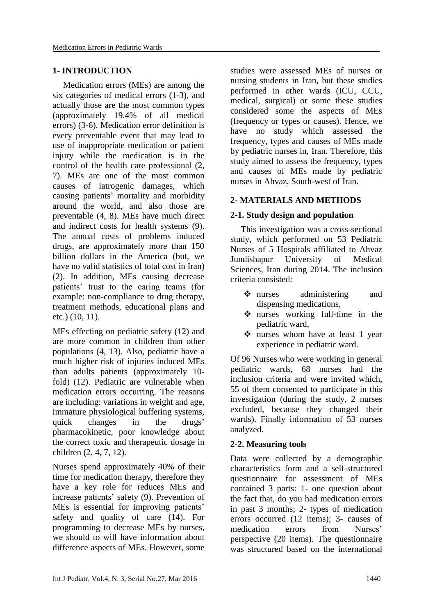### **1- INTRODUCTION**

Medication errors (MEs) are among the six categories of medical errors [\(1-3\)](#page-4-0), and actually those are the most common types (approximately 19.4% of all medical errors) [\(3-6\)](#page-4-1). Medication error definition is every preventable event that may lead to use of inappropriate medication or patient injury while the medication is in the control of the health care professional [\(2,](#page-4-2) [7\)](#page-5-0). MEs are one of the most common causes of iatrogenic damages, which causing patients' mortality and morbidity around the world, and also those are preventable [\(4,](#page-4-3) [8\)](#page-5-1). MEs have much direct and indirect costs for health systems [\(9\)](#page-5-2). The annual costs of problems induced drugs, are approximately more than 150 billion dollars in the America (but, we have no valid statistics of total cost in Iran) [\(2\)](#page-4-2). In addition, MEs causing decrease patients' trust to the caring teams (for example: non-compliance to drug therapy, treatment methods, educational plans and etc.) [\(10,](#page-5-3) [11\)](#page-5-4).

MEs effecting on pediatric safety [\(12\)](#page-5-5) and are more common in children than other populations [\(4,](#page-4-3) [13\)](#page-5-6). Also, pediatric have a much higher risk of injuries induced MEs than adults patients (approximately 10 fold) [\(12\)](#page-5-5). Pediatric are vulnerable when medication errors occurring. The reasons are including: variations in weight and age, immature physiological buffering systems, quick changes in the drugs' pharmacokinetic, poor knowledge about the correct toxic and therapeutic dosage in children [\(2,](#page-4-2) [4,](#page-4-3) [7,](#page-5-0) [12\)](#page-5-5).

Nurses spend approximately 40% of their time for medication therapy, therefore they have a key role for reduces MEs and increase patients' safety [\(9\)](#page-5-2). Prevention of MEs is essential for improving patients' safety and quality of care [\(14\)](#page-5-7). For programming to decrease MEs by nurses, we should to will have information about difference aspects of MEs. However, some

studies were assessed MEs of nurses or nursing students in Iran, but these studies performed in other wards (ICU, CCU, medical, surgical) or some these studies considered some the aspects of MEs (frequency or types or causes). Hence, we have no study which assessed the frequency, types and causes of MEs made by pediatric nurses in, Iran. Therefore, this study aimed to assess the frequency, types and causes of MEs made by pediatric nurses in Ahvaz, South-west of Iran.

## **2- MATERIALS AND METHODS**

### **2-1. Study design and population**

This investigation was a cross-sectional study, which performed on 53 Pediatric Nurses of 5 Hospitals affiliated to Ahvaz Jundishapur University of Medical Sciences, Iran during 2014. The inclusion criteria consisted:

- $\triangle$  nurses administering and dispensing medications,
- nurses working full-time in the pediatric ward,
- nurses whom have at least 1 year experience in pediatric ward.

Of 96 Nurses who were working in general pediatric wards, 68 nurses had the inclusion criteria and were invited which, 55 of them consented to participate in this investigation (during the study, 2 nurses excluded, because they changed their wards). Finally information of 53 nurses analyzed.

### **2-2. Measuring tools**

Data were collected by a demographic characteristics form and a self-structured questionnaire for assessment of MEs contained 3 parts: 1- one question about the fact that, do you had medication errors in past 3 months; 2- types of medication errors occurred (12 items); 3- causes of medication errors from Nurses' perspective (20 items). The questionnaire was structured based on the international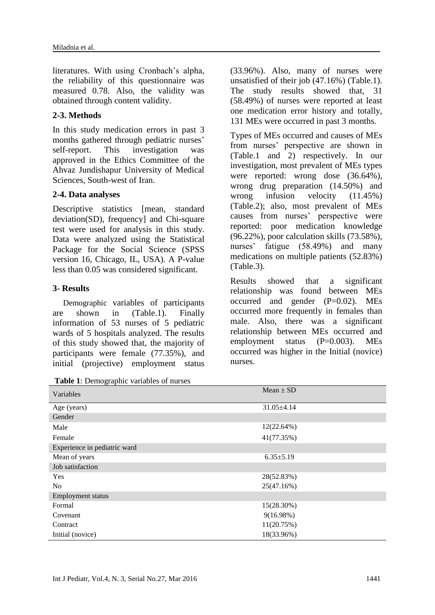literatures. With using Cronbach's alpha, the reliability of this questionnaire was measured 0.78. Also, the validity was obtained through content validity.

### **2-3. Methods**

In this study medication errors in past 3 months gathered through pediatric nurses' self-report. This investigation was approved in the Ethics Committee of the Ahvaz Jundishapur University of Medical Sciences, South-west of Iran.

### **2-4. Data analyses**

Descriptive statistics [mean, standard deviation(SD), frequency] and Chi-square test were used for analysis in this study. Data were analyzed using the Statistical Package for the Social Science (SPSS version 16, Chicago, IL, USA). A P-value less than 0.05 was considered significant.

### **3- Results**

Demographic variables of participants are shown in (Table.1). Finally information of 53 nurses of 5 pediatric wards of 5 hospitals analyzed. The results of this study showed that, the majority of participants were female (77.35%), and initial (projective) employment status

|  | Table 1: Demographic variables of nurses |  |  |
|--|------------------------------------------|--|--|
|  |                                          |  |  |

(33.96%). Also, many of nurses were unsatisfied of their job (47.16%) (Table.1). The study results showed that, 31 (58.49%) of nurses were reported at least one medication error history and totally, 131 MEs were occurred in past 3 months.

Types of MEs occurred and causes of MEs from nurses' perspective are shown in (Table.1 and 2) respectively. In our investigation, most prevalent of MEs types were reported: wrong dose (36.64%), wrong drug preparation (14.50%) and wrong infusion velocity (11.45%) (Table.2); also, most prevalent of MEs causes from nurses' perspective were reported: poor medication knowledge (96.22%), poor calculation skills (73.58%), nurses' fatigue (58.49%) and many medications on multiple patients (52.83%) (Table.3).

Results showed that a significant relationship was found between MEs occurred and gender  $(P=0.02)$ . MEs occurred more frequently in females than male. Also, there was a significant relationship between MEs occurred and employment status (P=0.003). MEs occurred was higher in the Initial (novice) nurses.

| <b>Tuble 1.</b> Demographic variables of harses |                  |  |  |  |  |
|-------------------------------------------------|------------------|--|--|--|--|
| Variables                                       | Mean $\pm$ SD    |  |  |  |  |
| Age (years)                                     | $31.05 \pm 4.14$ |  |  |  |  |
| Gender                                          |                  |  |  |  |  |
| Male                                            | 12(22.64%)       |  |  |  |  |
| Female                                          | 41(77.35%)       |  |  |  |  |
| Experience in pediatric ward                    |                  |  |  |  |  |
| Mean of years                                   | $6.35 \pm 5.19$  |  |  |  |  |
| Job satisfaction                                |                  |  |  |  |  |
| <b>Yes</b>                                      | 28(52.83%)       |  |  |  |  |
| No                                              | 25(47.16%)       |  |  |  |  |
| Employment status                               |                  |  |  |  |  |
| Formal                                          | 15(28.30%)       |  |  |  |  |
| Covenant                                        | $9(16.98\%)$     |  |  |  |  |
| Contract                                        | 11(20.75%)       |  |  |  |  |
| Initial (novice)                                | 18(33.96%)       |  |  |  |  |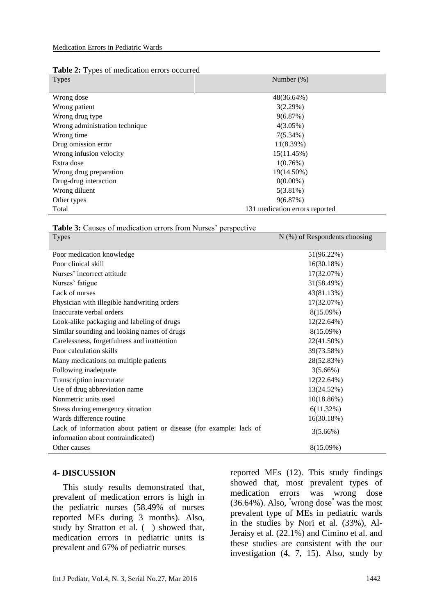|  |  |  | Table 2: Types of medication errors occurred |
|--|--|--|----------------------------------------------|
|--|--|--|----------------------------------------------|

| <b>Types</b>                   | Number $(\%)$                  |
|--------------------------------|--------------------------------|
|                                |                                |
| Wrong dose                     | 48(36.64%)                     |
| Wrong patient                  | 3(2.29%)                       |
| Wrong drug type                | 9(6.87%)                       |
| Wrong administration technique | $4(3.05\%)$                    |
| Wrong time                     | $7(5.34\%)$                    |
| Drug omission error            | 11(8.39%)                      |
| Wrong infusion velocity        | 15(11.45%)                     |
| Extra dose                     | 1(0.76%)                       |
| Wrong drug preparation         | 19(14.50%)                     |
| Drug-drug interaction          | $0(0.00\%)$                    |
| Wrong diluent                  | $5(3.81\%)$                    |
| Other types                    | 9(6.87%)                       |
| Total                          | 131 medication errors reported |

#### **Table 3:** Causes of medication errors from Nurses' perspective

| <b>Types</b>                                                                                             | $N$ (%) of Respondents choosing |
|----------------------------------------------------------------------------------------------------------|---------------------------------|
| Poor medication knowledge                                                                                | 51(96.22%)                      |
| Poor clinical skill                                                                                      | 16(30.18%)                      |
| Nurses' incorrect attitude                                                                               | 17(32.07%)                      |
| Nurses' fatigue                                                                                          | 31(58.49%)                      |
| Lack of nurses                                                                                           | 43(81.13%)                      |
| Physician with illegible handwriting orders                                                              | 17(32.07%)                      |
| Inaccurate verbal orders                                                                                 | 8(15.09%)                       |
| Look-alike packaging and labeling of drugs                                                               | 12(22.64%)                      |
| Similar sounding and looking names of drugs                                                              | 8(15.09%)                       |
| Carelessness, forgetfulness and inattention                                                              | 22(41.50%)                      |
| Poor calculation skills                                                                                  | 39(73.58%)                      |
| Many medications on multiple patients                                                                    | 28(52.83%)                      |
| Following inadequate                                                                                     | $3(5.66\%)$                     |
| Transcription inaccurate                                                                                 | 12(22.64%)                      |
| Use of drug abbreviation name                                                                            | 13(24.52%)                      |
| Nonmetric units used                                                                                     | 10(18.86%)                      |
| Stress during emergency situation                                                                        | 6(11.32%)                       |
| Wards difference routine                                                                                 | 16(30.18%)                      |
| Lack of information about patient or disease (for example: lack of<br>information about contraindicated) | 3(5.66%)                        |
| Other causes                                                                                             | 8(15.09%)                       |

#### **4- DISCUSSION**

This study results demonstrated that, prevalent of medication errors is high in the pediatric nurses (58.49% of nurses reported MEs during 3 months). Also, study by Stratton et al. ( ) showed that, medication errors in pediatric units is prevalent and 67% of pediatric nurses

reported MEs [\(12\)](#page-5-5). This study findings showed that, most prevalent types of medication errors was wrong dose (36.64%). Also, "wrong dose" was the most prevalent type of MEs in pediatric wards in the studies by Nori et al. (33%), Al-Jeraisy et al. (22.1%) and Cimino et al. and these studies are consistent with the our investigation [\(4,](#page-4-3) [7,](#page-5-0) [15\)](#page-5-8). Also, study by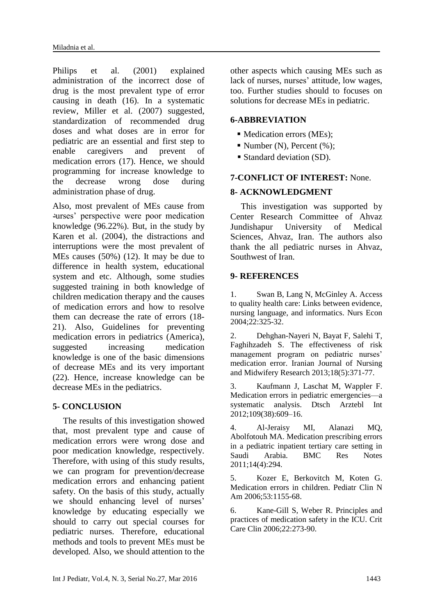Philips et al. (2001) explained administration of the incorrect dose of drug is the most prevalent type of error causing in death [\(16\)](#page-5-9). In a systematic review, Miller et al. (2007) suggested, standardization of recommended drug doses and what doses are in error for pediatric are an essential and first step to enable caregivers and prevent of medication errors [\(17\)](#page-5-10). Hence, we should programming for increase knowledge to the decrease wrong dose during administration phase of drug.

Also, most prevalent of MEs cause from دurses' perspective were poor medication knowledge (96.22%). But, in the study by Karen et al. (2004), the distractions and interruptions were the most prevalent of MEs causes (50%) [\(12\)](#page-5-5). It may be due to difference in health system, educational system and etc. Although, some studies suggested training in both knowledge of children medication therapy and the causes of medication errors and how to resolve them can decrease the rate of errors [\(18-](#page-5-11) [21\)](#page-5-11). Also, Guidelines for preventing medication errors in pediatrics (America), suggested increasing medication knowledge is one of the basic dimensions of decrease MEs and its very important [\(22\)](#page-5-12). Hence, increase knowledge can be decrease MEs in the pediatrics.

# **5- CONCLUSION**

The results of this investigation showed that, most prevalent type and cause of medication errors were wrong dose and poor medication knowledge, respectively. Therefore, with using of this study results, we can program for prevention/decrease medication errors and enhancing patient safety. On the basis of this study, actually we should enhancing level of nurses' knowledge by educating especially we should to carry out special courses for pediatric nurses. Therefore, educational methods and tools to prevent MEs must be developed. Also, we should attention to the

other aspects which causing MEs such as lack of nurses, nurses' attitude, low wages, too. Further studies should to focuses on solutions for decrease MEs in pediatric.

# **6-ABBREVIATION**

- Medication errors (MEs):
- Number (N), Percent  $(\%);$
- Standard deviation (SD).

# **7-CONFLICT OF INTEREST:** None.

# **8- ACKNOWLEDGMENT**

This investigation was supported by Center Research Committee of Ahvaz Jundishapur University of Medical Sciences, Ahvaz, Iran. The authors also thank the all pediatric nurses in Ahvaz, Southwest of Iran.

# **9- REFERENCES**

<span id="page-4-0"></span>1. Swan B, Lang N, McGinley A. Access to quality health care: Links between evidence, nursing language, and informatics. Nurs Econ 2004;22:325-32.

<span id="page-4-2"></span>2. Dehghan-Nayeri N, Bayat F, Salehi T, Faghihzadeh S. The effectiveness of risk management program on pediatric nurses' medication error. Iranian Journal of Nursing and Midwifery Research 2013;18(5):371-77.

<span id="page-4-1"></span>3. Kaufmann J, Laschat M, Wappler F. Medication errors in pediatric emergencies—a systematic analysis. Dtsch Arztebl Int 2012;109(38):609–16.

<span id="page-4-3"></span>4. Al-Jeraisy MI, Alanazi MQ, Abolfotouh MA. Medication prescribing errors in a pediatric inpatient tertiary care setting in Saudi Arabia. BMC Res Notes 2011;14(4):294.

5. Kozer E, Berkovitch M, Koten G. Medication errors in children. Pediatr Clin N Am 2006;53:1155-68.

6. Kane-Gill S, Weber R. Principles and practices of medication safety in the ICU. Crit Care Clin 2006;22:273-90.